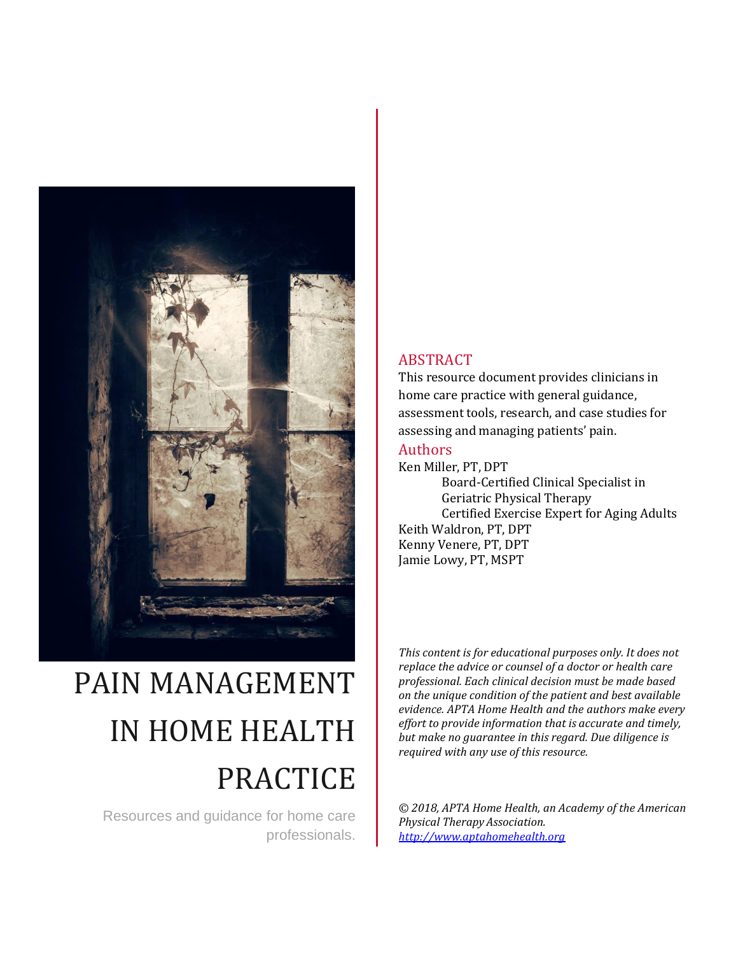

# PAIN MANAGEMENT IN HOME HEALTH PRACTICE

Resources and guidance for home care professionals.

#### ABSTRACT

This resource document provides clinicians in home care practice with general guidance, assessment tools, research, and case studies for assessing and managing patients' pain.

#### Authors

Ken Miller, PT, DPT Board-Certified Clinical Specialist in Geriatric Physical Therapy Certified Exercise Expert for Aging Adults Keith Waldron, PT, DPT Kenny Venere, PT, DPT Jamie Lowy, PT, MSPT

*This content is for educational purposes only. It does not replace the advice or counsel of a doctor or health care professional. Each clinical decision must be made based on the unique condition of the patient and best available evidence. APTA Home Health and the authors make every effort to provide information that is accurate and timely, but make no guarantee in this regard. Due diligence is required with any use of this resource.*

*© 2018, APTA Home Health, an Academy of the American Physical Therapy Association. [http://www.aptahomehealth.org](http://www.aptahomehealth.org/)*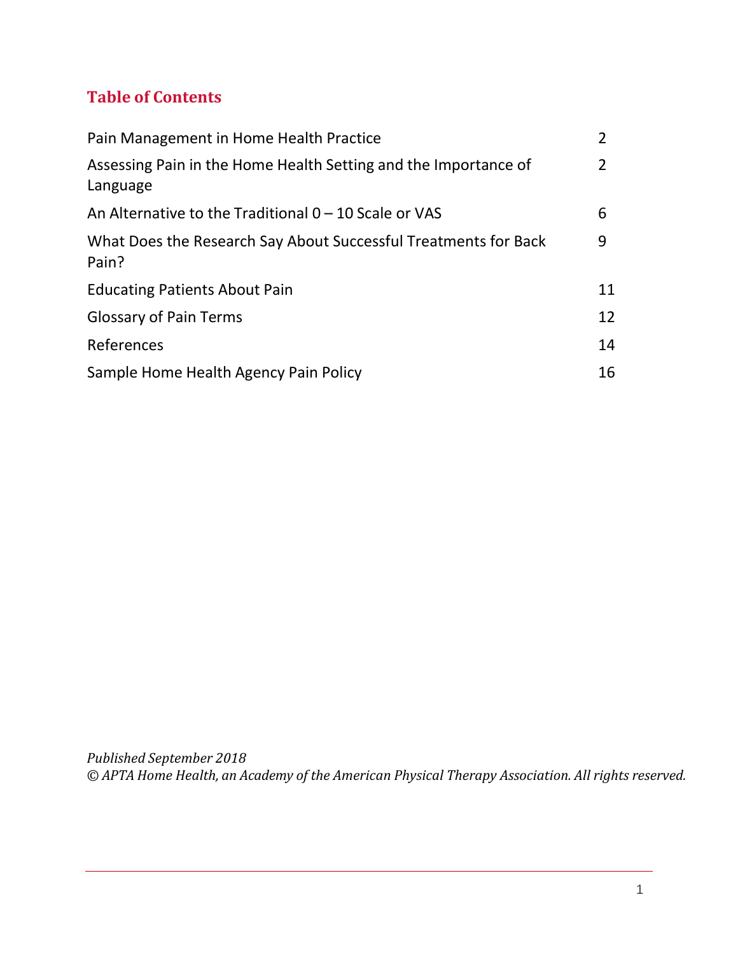## **Table of Contents**

| Pain Management in Home Health Practice                                     | 2  |
|-----------------------------------------------------------------------------|----|
| Assessing Pain in the Home Health Setting and the Importance of<br>Language | 2  |
| An Alternative to the Traditional $0 - 10$ Scale or VAS                     | 6  |
| What Does the Research Say About Successful Treatments for Back<br>Pain?    | 9  |
| <b>Educating Patients About Pain</b>                                        | 11 |
| <b>Glossary of Pain Terms</b>                                               |    |
| References                                                                  |    |
| Sample Home Health Agency Pain Policy                                       | 16 |

*Published September 2018 © APTA Home Health, an Academy of the American Physical Therapy Association. All rights reserved.*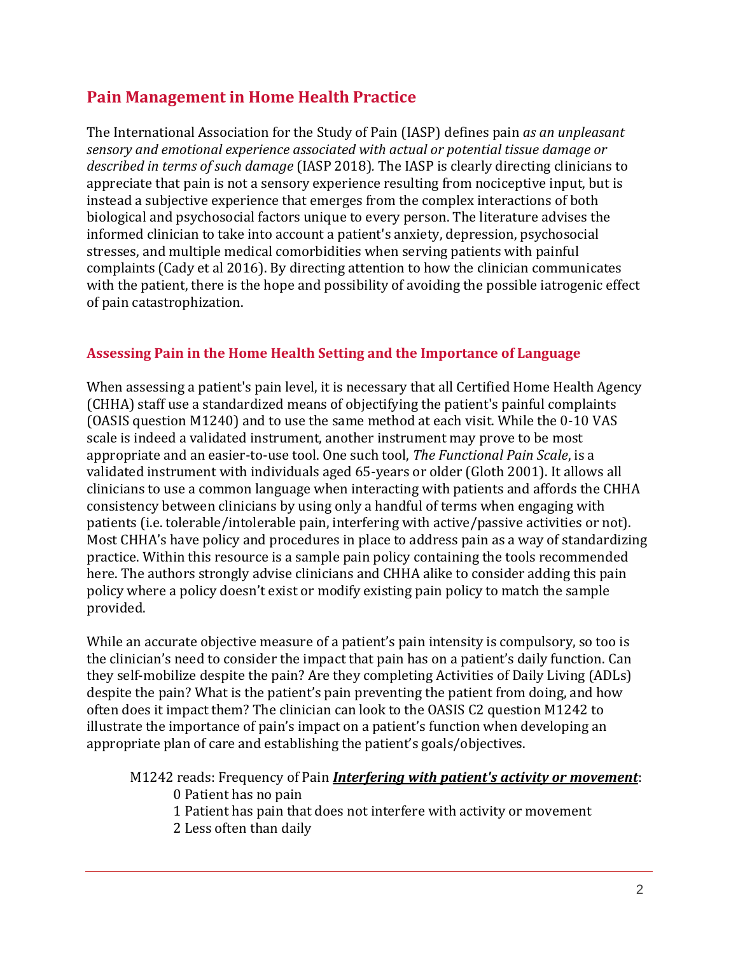## **Pain Management in Home Health Practice**

The International Association for the Study of Pain (IASP) defines pain *as an unpleasant sensory and emotional experience associated with actual or potential tissue damage or described in terms of such damage* (IASP 2018)*.* The IASP is clearly directing clinicians to appreciate that pain is not a sensory experience resulting from nociceptive input, but is instead a subjective experience that emerges from the complex interactions of both biological and psychosocial factors unique to every person. The literature advises the informed clinician to take into account a patient's anxiety, depression, psychosocial stresses, and multiple medical comorbidities when serving patients with painful complaints (Cady et al 2016). By directing attention to how the clinician communicates with the patient, there is the hope and possibility of avoiding the possible iatrogenic effect of pain catastrophization.

#### **Assessing Pain in the Home Health Setting and the Importance of Language**

When assessing a patient's pain level, it is necessary that all Certified Home Health Agency (CHHA) staff use a standardized means of objectifying the patient's painful complaints (OASIS question M1240) and to use the same method at each visit. While the 0-10 VAS scale is indeed a validated instrument, another instrument may prove to be most appropriate and an easier-to-use tool. One such tool, *The Functional Pain Scale*, is a validated instrument with individuals aged 65-years or older (Gloth 2001). It allows all clinicians to use a common language when interacting with patients and affords the CHHA consistency between clinicians by using only a handful of terms when engaging with patients (i.e. tolerable/intolerable pain, interfering with active/passive activities or not). Most CHHA's have policy and procedures in place to address pain as a way of standardizing practice. Within this resource is a sample pain policy containing the tools recommended here. The authors strongly advise clinicians and CHHA alike to consider adding this pain policy where a policy doesn't exist or modify existing pain policy to match the sample provided.

While an accurate objective measure of a patient's pain intensity is compulsory, so too is the clinician's need to consider the impact that pain has on a patient's daily function. Can they self-mobilize despite the pain? Are they completing Activities of Daily Living (ADLs) despite the pain? What is the patient's pain preventing the patient from doing, and how often does it impact them? The clinician can look to the OASIS C2 question M1242 to illustrate the importance of pain's impact on a patient's function when developing an appropriate plan of care and establishing the patient's goals/objectives.

M1242 reads: Frequency of Pain *Interfering with patient's activity or movement*:

- 0 Patient has no pain
- 1 Patient has pain that does not interfere with activity or movement
- 2 Less often than daily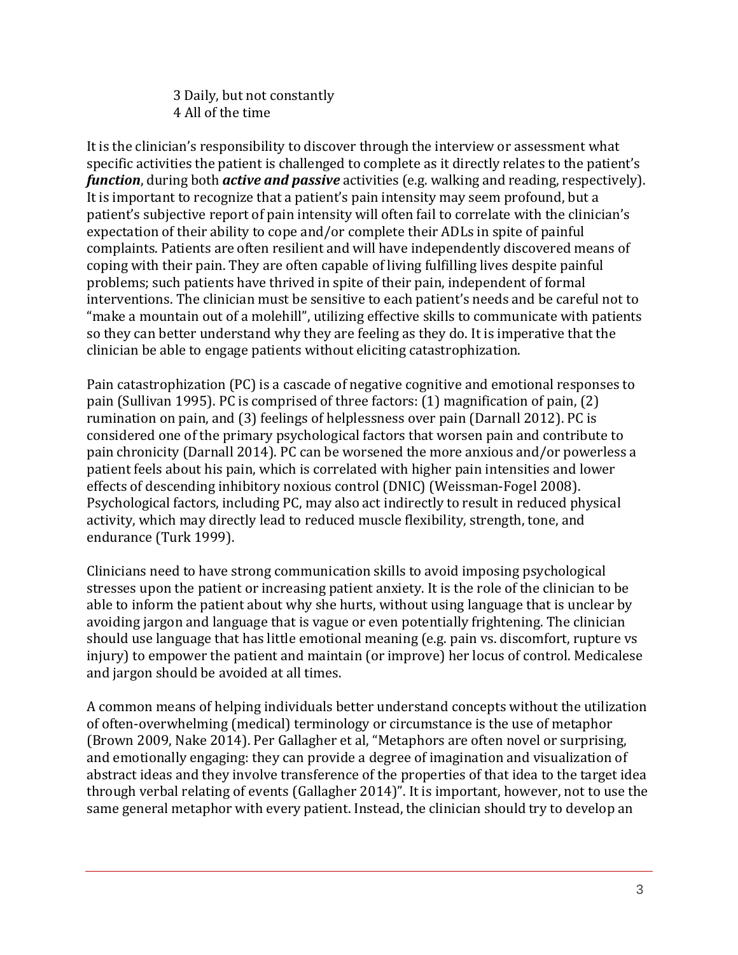3 Daily, but not constantly 4 All of the time

It is the clinician's responsibility to discover through the interview or assessment what specific activities the patient is challenged to complete as it directly relates to the patient's *function*, during both *active and passive* activities (e.g. walking and reading, respectively). It is important to recognize that a patient's pain intensity may seem profound, but a patient's subjective report of pain intensity will often fail to correlate with the clinician's expectation of their ability to cope and/or complete their ADLs in spite of painful complaints. Patients are often resilient and will have independently discovered means of coping with their pain. They are often capable of living fulfilling lives despite painful problems; such patients have thrived in spite of their pain, independent of formal interventions. The clinician must be sensitive to each patient's needs and be careful not to "make a mountain out of a molehill", utilizing effective skills to communicate with patients so they can better understand why they are feeling as they do. It is imperative that the clinician be able to engage patients without eliciting catastrophization.

Pain catastrophization (PC) is a cascade of negative cognitive and emotional responses to pain (Sullivan 1995). PC is comprised of three factors: (1) magnification of pain, (2) rumination on pain, and (3) feelings of helplessness over pain (Darnall 2012). PC is considered one of the primary psychological factors that worsen pain and contribute to pain chronicity (Darnall 2014). PC can be worsened the more anxious and/or powerless a patient feels about his pain, which is correlated with higher pain intensities and lower effects of descending inhibitory noxious control (DNIC) (Weissman-Fogel 2008). Psychological factors, including PC, may also act indirectly to result in reduced physical activity, which may directly lead to reduced muscle flexibility, strength, tone, and endurance (Turk 1999).

Clinicians need to have strong communication skills to avoid imposing psychological stresses upon the patient or increasing patient anxiety. It is the role of the clinician to be able to inform the patient about why she hurts, without using language that is unclear by avoiding jargon and language that is vague or even potentially frightening. The clinician should use language that has little emotional meaning (e.g. pain vs. discomfort, rupture vs injury) to empower the patient and maintain (or improve) her locus of control. Medicalese and jargon should be avoided at all times.

A common means of helping individuals better understand concepts without the utilization of often-overwhelming (medical) terminology or circumstance is the use of metaphor (Brown 2009, Nake 2014). Per Gallagher et al, "Metaphors are often novel or surprising, and emotionally engaging: they can provide a degree of imagination and visualization of abstract ideas and they involve transference of the properties of that idea to the target idea through verbal relating of events (Gallagher 2014)". It is important, however, not to use the same general metaphor with every patient. Instead, the clinician should try to develop an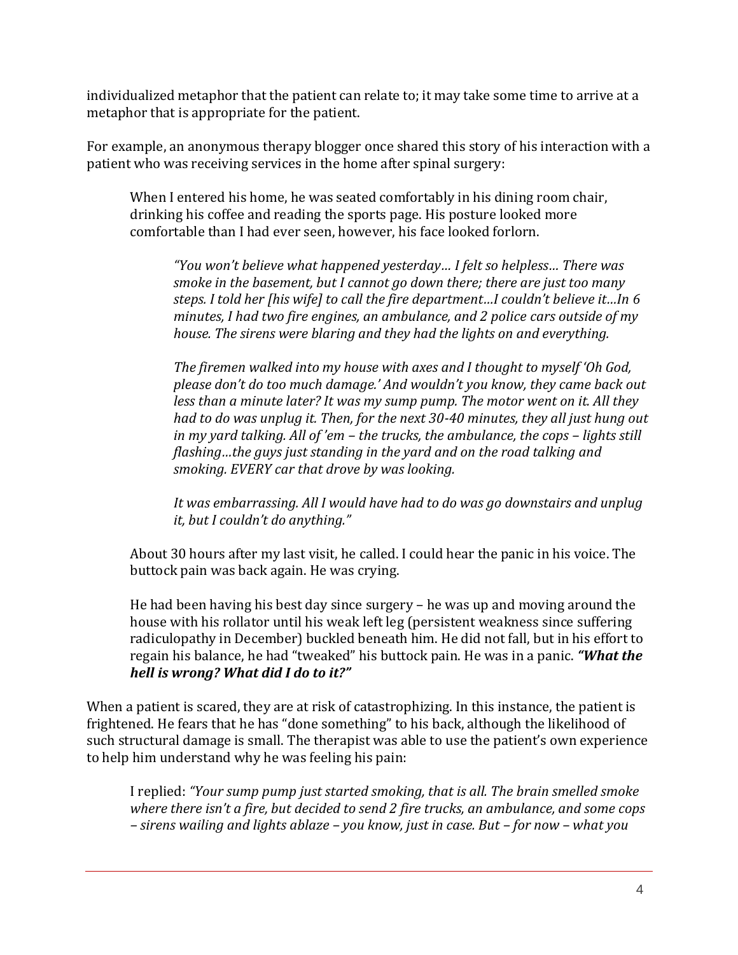individualized metaphor that the patient can relate to; it may take some time to arrive at a metaphor that is appropriate for the patient.

For example, an anonymous therapy blogger once shared this story of his interaction with a patient who was receiving services in the home after spinal surgery:

When I entered his home, he was seated comfortably in his dining room chair, drinking his coffee and reading the sports page. His posture looked more comfortable than I had ever seen, however, his face looked forlorn.

*"You won't believe what happened yesterday… I felt so helpless… There was smoke in the basement, but I cannot go down there; there are just too many steps. I told her [his wife] to call the fire department…I couldn't believe it…In 6 minutes, I had two fire engines, an ambulance, and 2 police cars outside of my house. The sirens were blaring and they had the lights on and everything.*

*The firemen walked into my house with axes and I thought to myself 'Oh God, please don't do too much damage.' And wouldn't you know, they came back out less than a minute later? It was my sump pump. The motor went on it. All they had to do was unplug it. Then, for the next 30-40 minutes, they all just hung out in my yard talking. All of 'em – the trucks, the ambulance, the cops – lights still flashing…the guys just standing in the yard and on the road talking and smoking. EVERY car that drove by was looking.*

*It was embarrassing. All I would have had to do was go downstairs and unplug it, but I couldn't do anything."*

About 30 hours after my last visit, he called. I could hear the panic in his voice. The buttock pain was back again. He was crying.

He had been having his best day since surgery – he was up and moving around the house with his rollator until his weak left leg (persistent weakness since suffering radiculopathy in December) buckled beneath him. He did not fall, but in his effort to regain his balance, he had "tweaked" his buttock pain. He was in a panic. *"What the hell is wrong? What did I do to it?"*

When a patient is scared, they are at risk of catastrophizing. In this instance, the patient is frightened. He fears that he has "done something" to his back, although the likelihood of such structural damage is small. The therapist was able to use the patient's own experience to help him understand why he was feeling his pain:

I replied: *"Your sump pump just started smoking, that is all. The brain smelled smoke where there isn't a fire, but decided to send 2 fire trucks, an ambulance, and some cops – sirens wailing and lights ablaze – you know, just in case. But – for now – what you*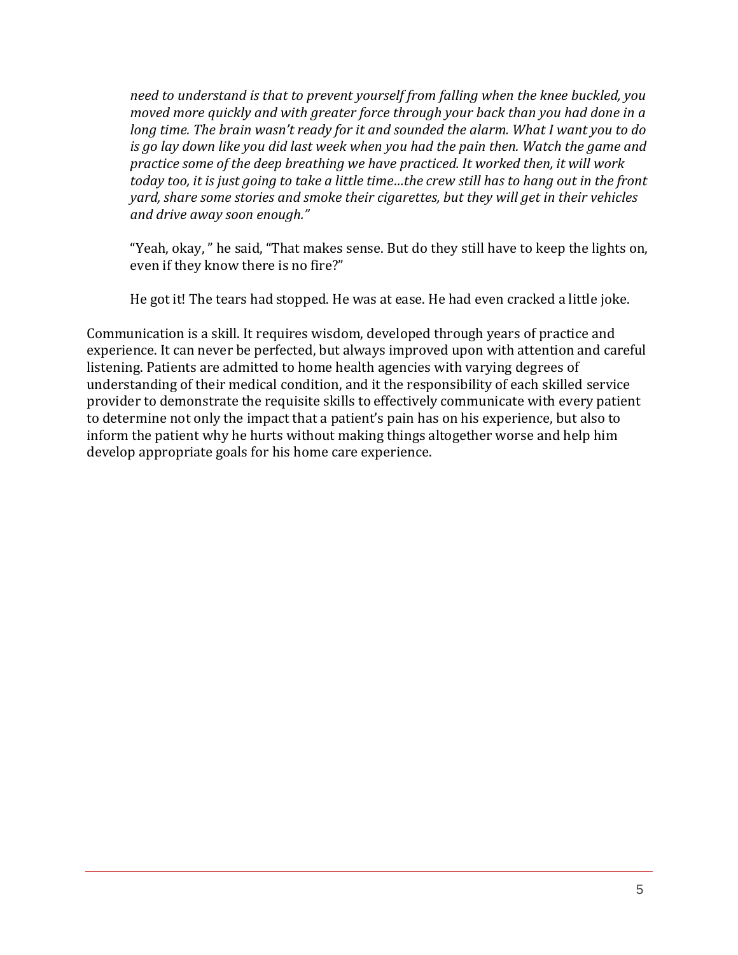*need to understand is that to prevent yourself from falling when the knee buckled, you moved more quickly and with greater force through your back than you had done in a long time. The brain wasn't ready for it and sounded the alarm. What I want you to do is go lay down like you did last week when you had the pain then. Watch the game and practice some of the deep breathing we have practiced. It worked then, it will work* today too, it is just going to take a little time...the crew still has to hang out in the front *yard, share some stories and smoke their cigarettes, but they will get in their vehicles and drive away soon enough."*

"Yeah, okay, " he said, "That makes sense. But do they still have to keep the lights on, even if they know there is no fire?"

He got it! The tears had stopped. He was at ease. He had even cracked a little joke.

Communication is a skill. It requires wisdom, developed through years of practice and experience. It can never be perfected, but always improved upon with attention and careful listening. Patients are admitted to home health agencies with varying degrees of understanding of their medical condition, and it the responsibility of each skilled service provider to demonstrate the requisite skills to effectively communicate with every patient to determine not only the impact that a patient's pain has on his experience, but also to inform the patient why he hurts without making things altogether worse and help him develop appropriate goals for his home care experience.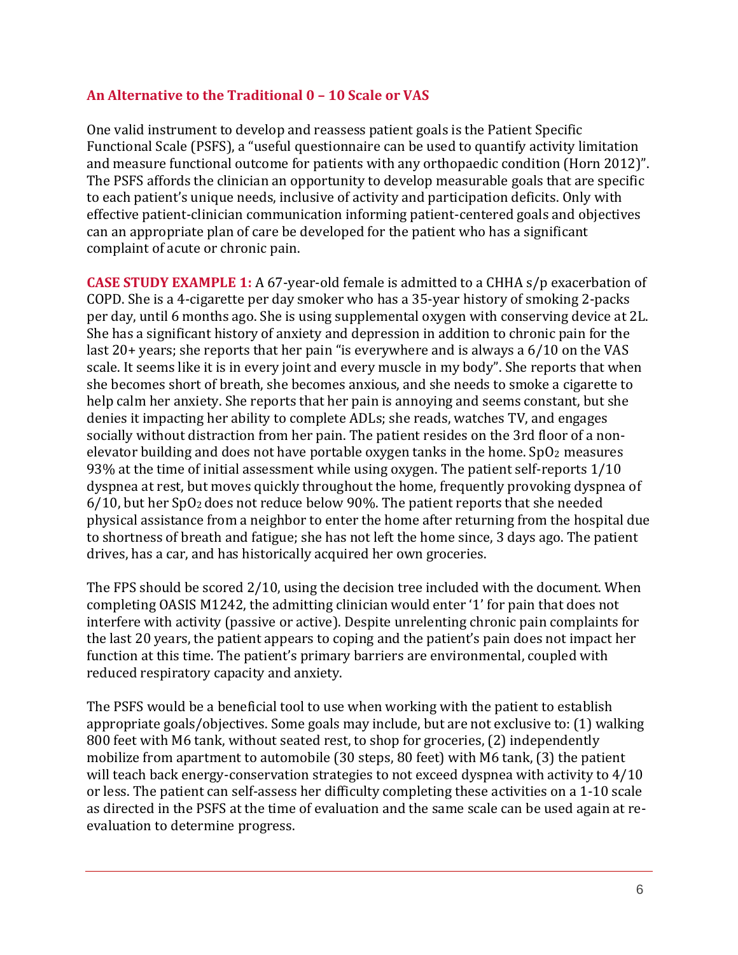#### **An Alternative to the Traditional 0 – 10 Scale or VAS**

One valid instrument to develop and reassess patient goals is the Patient Specific Functional Scale (PSFS), a "useful questionnaire can be used to quantify activity limitation and measure functional outcome for patients with any orthopaedic condition (Horn 2012)". The PSFS affords the clinician an opportunity to develop measurable goals that are specific to each patient's unique needs, inclusive of activity and participation deficits. Only with effective patient-clinician communication informing patient-centered goals and objectives can an appropriate plan of care be developed for the patient who has a significant complaint of acute or chronic pain.

**CASE STUDY EXAMPLE 1:** A 67-year-old female is admitted to a CHHA s/p exacerbation of COPD. She is a 4-cigarette per day smoker who has a 35-year history of smoking 2-packs per day, until 6 months ago. She is using supplemental oxygen with conserving device at 2L. She has a significant history of anxiety and depression in addition to chronic pain for the last 20+ years; she reports that her pain "is everywhere and is always a 6/10 on the VAS scale. It seems like it is in every joint and every muscle in my body". She reports that when she becomes short of breath, she becomes anxious, and she needs to smoke a cigarette to help calm her anxiety. She reports that her pain is annoying and seems constant, but she denies it impacting her ability to complete ADLs; she reads, watches TV, and engages socially without distraction from her pain. The patient resides on the 3rd floor of a nonelevator building and does not have portable oxygen tanks in the home.  $SpO<sub>2</sub>$  measures 93% at the time of initial assessment while using oxygen. The patient self-reports 1/10 dyspnea at rest, but moves quickly throughout the home, frequently provoking dyspnea of 6/10, but her SpO<sup>2</sup> does not reduce below 90%. The patient reports that she needed physical assistance from a neighbor to enter the home after returning from the hospital due to shortness of breath and fatigue; she has not left the home since, 3 days ago. The patient drives, has a car, and has historically acquired her own groceries.

The FPS should be scored 2/10, using the decision tree included with the document. When completing OASIS M1242, the admitting clinician would enter '1' for pain that does not interfere with activity (passive or active). Despite unrelenting chronic pain complaints for the last 20 years, the patient appears to coping and the patient's pain does not impact her function at this time. The patient's primary barriers are environmental, coupled with reduced respiratory capacity and anxiety.

The PSFS would be a beneficial tool to use when working with the patient to establish appropriate goals/objectives. Some goals may include, but are not exclusive to: (1) walking 800 feet with M6 tank, without seated rest, to shop for groceries, (2) independently mobilize from apartment to automobile (30 steps, 80 feet) with M6 tank, (3) the patient will teach back energy-conservation strategies to not exceed dyspnea with activity to 4/10 or less. The patient can self-assess her difficulty completing these activities on a 1-10 scale as directed in the PSFS at the time of evaluation and the same scale can be used again at reevaluation to determine progress.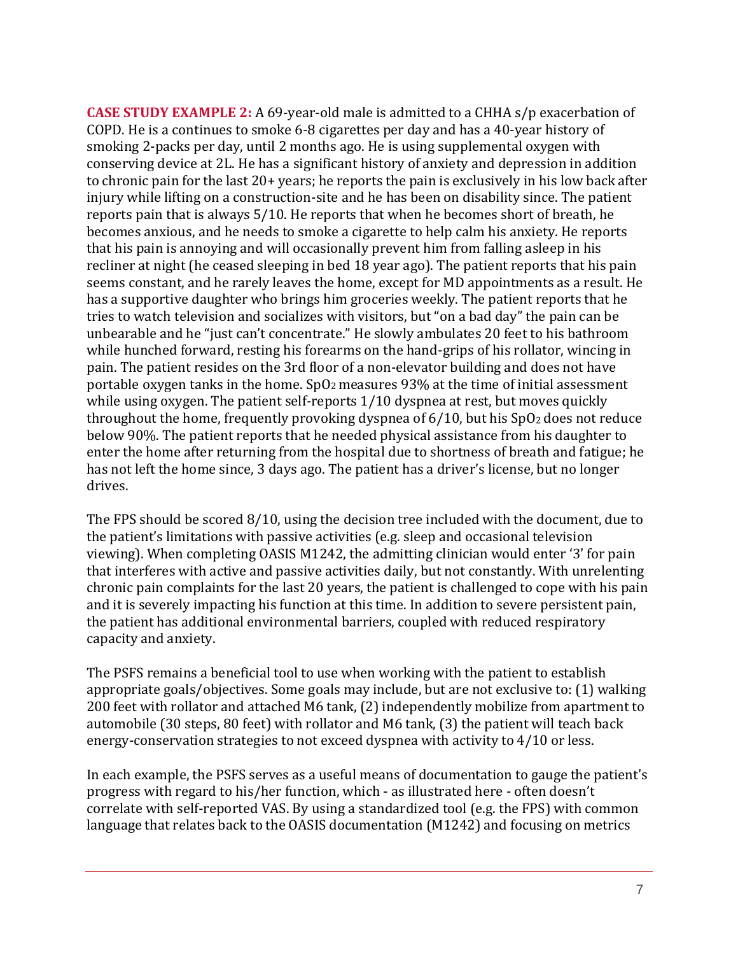**CASE STUDY EXAMPLE 2:** A 69-year-old male is admitted to a CHHA s/p exacerbation of COPD. He is a continues to smoke 6-8 cigarettes per day and has a 40-year history of smoking 2-packs per day, until 2 months ago. He is using supplemental oxygen with conserving device at 2L. He has a significant history of anxiety and depression in addition to chronic pain for the last 20+ years; he reports the pain is exclusively in his low back after injury while lifting on a construction-site and he has been on disability since. The patient reports pain that is always 5/10. He reports that when he becomes short of breath, he becomes anxious, and he needs to smoke a cigarette to help calm his anxiety. He reports that his pain is annoying and will occasionally prevent him from falling asleep in his recliner at night (he ceased sleeping in bed 18 year ago). The patient reports that his pain seems constant, and he rarely leaves the home, except for MD appointments as a result. He has a supportive daughter who brings him groceries weekly. The patient reports that he tries to watch television and socializes with visitors, but "on a bad day" the pain can be unbearable and he "just can't concentrate." He slowly ambulates 20 feet to his bathroom while hunched forward, resting his forearms on the hand-grips of his rollator, wincing in pain. The patient resides on the 3rd floor of a non-elevator building and does not have portable oxygen tanks in the home.  $SpO<sub>2</sub>$  measures 93% at the time of initial assessment while using oxygen. The patient self-reports 1/10 dyspnea at rest, but moves quickly throughout the home, frequently provoking dyspnea of  $6/10$ , but his  $SpO<sub>2</sub>$  does not reduce below 90%. The patient reports that he needed physical assistance from his daughter to enter the home after returning from the hospital due to shortness of breath and fatigue; he has not left the home since, 3 days ago. The patient has a driver's license, but no longer drives.

The FPS should be scored 8/10, using the decision tree included with the document, due to the patient's limitations with passive activities (e.g. sleep and occasional television viewing). When completing OASIS M1242, the admitting clinician would enter '3' for pain that interferes with active and passive activities daily, but not constantly. With unrelenting chronic pain complaints for the last 20 years, the patient is challenged to cope with his pain and it is severely impacting his function at this time. In addition to severe persistent pain, the patient has additional environmental barriers, coupled with reduced respiratory capacity and anxiety.

The PSFS remains a beneficial tool to use when working with the patient to establish appropriate goals/objectives. Some goals may include, but are not exclusive to: (1) walking 200 feet with rollator and attached M6 tank, (2) independently mobilize from apartment to automobile (30 steps, 80 feet) with rollator and M6 tank, (3) the patient will teach back energy-conservation strategies to not exceed dyspnea with activity to 4/10 or less.

In each example, the PSFS serves as a useful means of documentation to gauge the patient's progress with regard to his/her function, which - as illustrated here - often doesn't correlate with self-reported VAS. By using a standardized tool (e.g. the FPS) with common language that relates back to the OASIS documentation (M1242) and focusing on metrics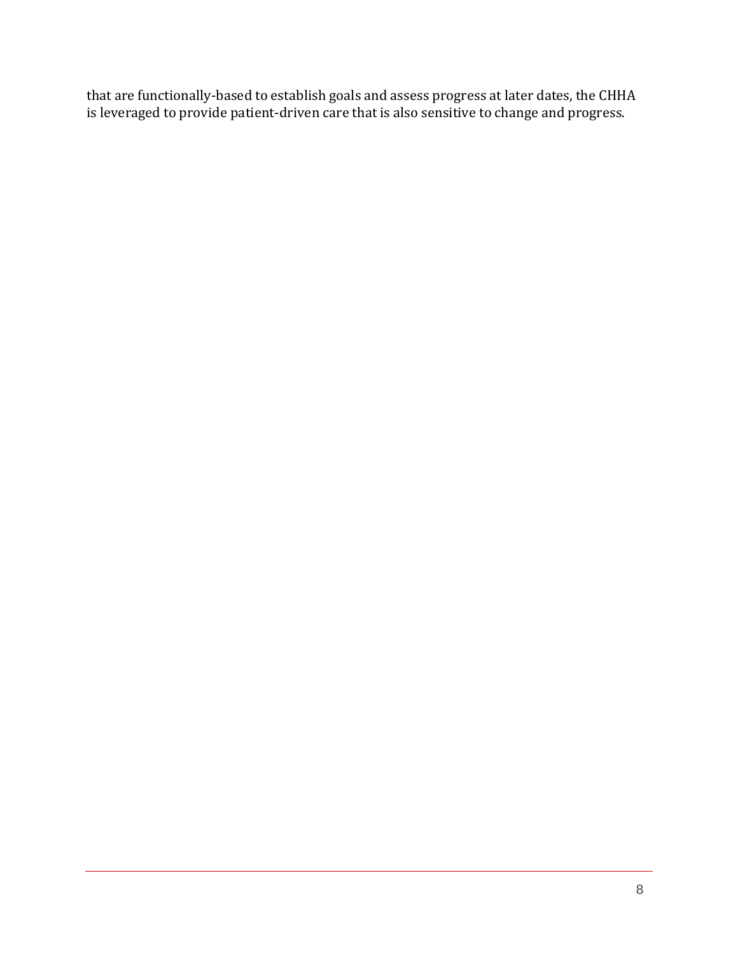that are functionally-based to establish goals and assess progress at later dates, the CHHA is leveraged to provide patient-driven care that is also sensitive to change and progress.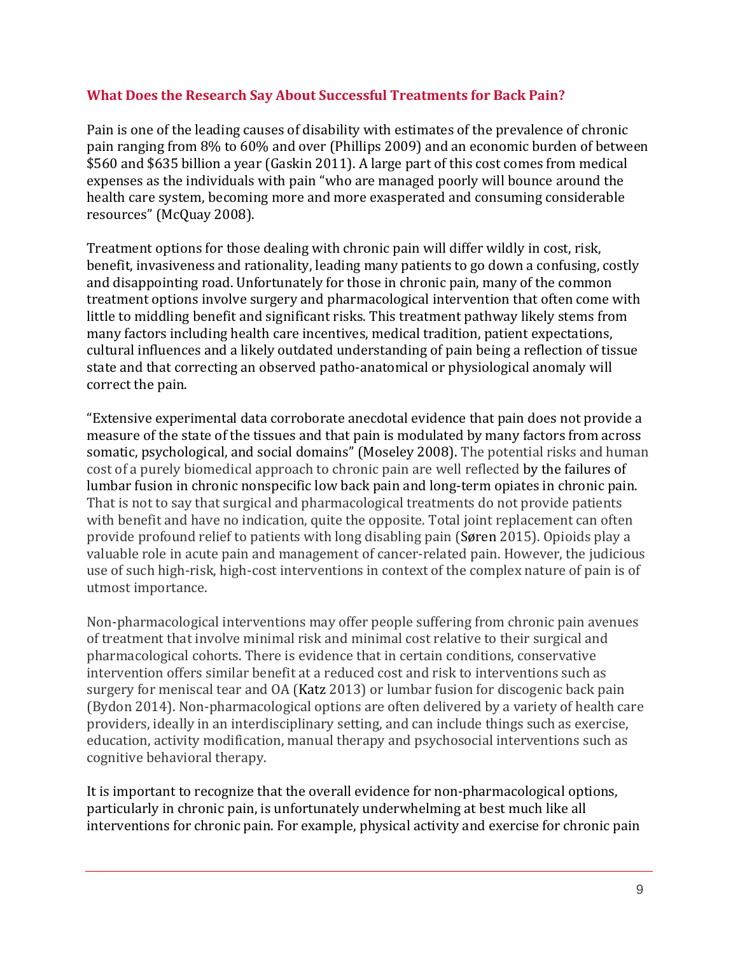#### **What Does the Research Say About Successful Treatments for Back Pain?**

Pain is one of the leading causes of disability with estimates of the prevalence of chronic pain ranging from 8% to 60% and over (Phillips 2009) and an economic burden of between \$560 and \$635 billion a year (Gaskin 2011). A large part of this cost comes from medical expenses as the individuals with pain "who are managed poorly will bounce around the health care system, becoming more and more exasperated and consuming considerable resources" (McQuay 2008).

Treatment options for those dealing with chronic pain will differ wildly in cost, risk, benefit, invasiveness and rationality, leading many patients to go down a confusing, costly and disappointing road. Unfortunately for those in chronic pain, many of the common treatment options involve surgery and pharmacological intervention that often come with little to middling benefit and significant risks. This treatment pathway likely stems from many factors including health care incentives, medical tradition, patient expectations, cultural influences and a likely outdated understanding of pain being a reflection of tissue state and that correcting an observed patho-anatomical or physiological anomaly will correct the pain.

"Extensive experimental data corroborate anecdotal evidence that pain does not provide a measure of the state of the tissues and that pain is modulated by many factors from across somatic, psychological, and social domains" (Moseley 2008). The potential risks and human cost of a purely biomedical approach to chronic pain are well reflected by the failures of lumbar fusion in chronic nonspecific low back pain and long-term opiates in chronic pain. That is not to say that surgical and pharmacological treatments do not provide patients with benefit and have no indication, quite the opposite. Total joint replacement can often provide profound relief to patients with long disabling pain (Søren 2015). Opioids play a valuable role in acute pain and management of cancer-related pain. However, the judicious use of such high-risk, high-cost interventions in context of the complex nature of pain is of utmost importance.

Non-pharmacological interventions may offer people suffering from chronic pain avenues of treatment that involve minimal risk and minimal cost relative to their surgical and pharmacological cohorts. There is evidence that in certain conditions, conservative intervention offers similar benefit at a reduced cost and risk to interventions such as surgery for meniscal tear and OA (Katz 2013) or lumbar fusion for discogenic back pain (Bydon 2014). Non-pharmacological options are often delivered by a variety of health care providers, ideally in an interdisciplinary setting, and can include things such as exercise, education, activity modification, manual therapy and psychosocial interventions such as cognitive behavioral therapy.

It is important to recognize that the overall evidence for non-pharmacological options, particularly in chronic pain, is unfortunately underwhelming at best much like all interventions for chronic pain. For example, physical activity and exercise for chronic pain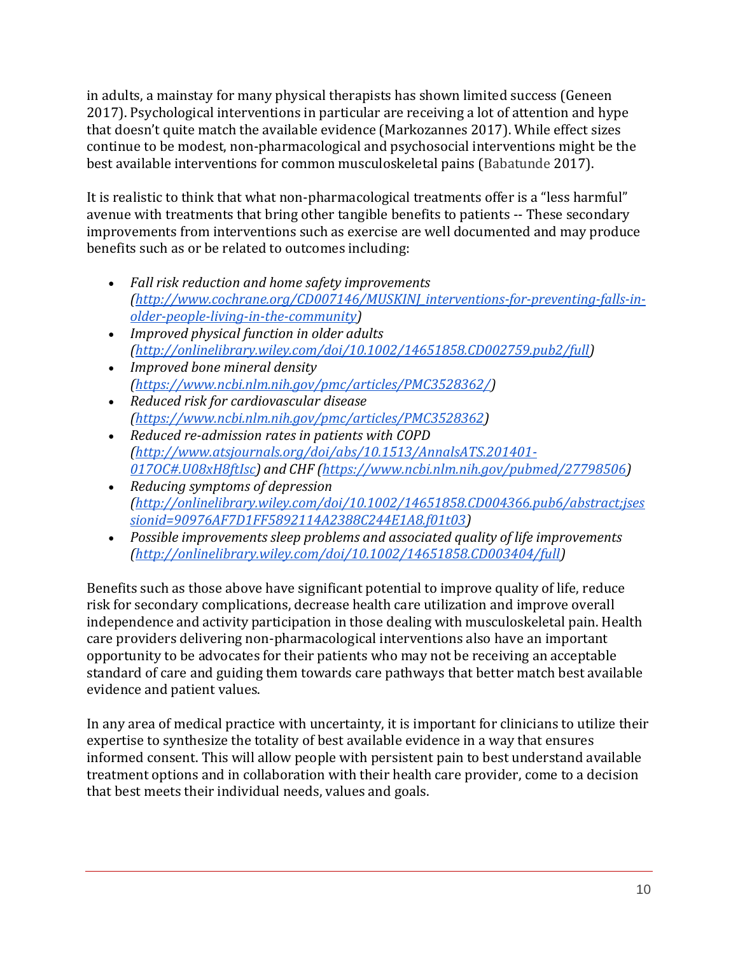in adults, a mainstay for many physical therapists has shown limited success (Geneen 2017). Psychological interventions in particular are receiving a lot of attention and hype that doesn't quite match the available evidence (Markozannes 2017). While effect sizes continue to be modest, non-pharmacological and psychosocial interventions might be the best available interventions for common musculoskeletal pains (Babatunde 2017).

It is realistic to think that what non-pharmacological treatments offer is a "less harmful" avenue with treatments that bring other tangible benefits to patients -- These secondary improvements from interventions such as exercise are well documented and may produce benefits such as or be related to outcomes including:

- *Fall risk reduction and home safety improvements [\(http://www.cochrane.org/CD007146/MUSKINJ\\_interventions-for-preventing-falls-in](http://www.cochrane.org/CD007146/MUSKINJ_interventions-for-preventing-falls-in-older-people-living-in-the-community)[older-people-living-in-the-community\)](http://www.cochrane.org/CD007146/MUSKINJ_interventions-for-preventing-falls-in-older-people-living-in-the-community)*
- *Improved physical function in older adults [\(http://onlinelibrary.wiley.com/doi/10.1002/14651858.CD002759.pub2/full\)](http://onlinelibrary.wiley.com/doi/10.1002/14651858.CD002759.pub2/full)*
- *Improved bone mineral density [\(https://www.ncbi.nlm.nih.gov/pmc/articles/PMC3528362/\)](https://www.ncbi.nlm.nih.gov/pmc/articles/PMC3528362/)*
- *Reduced risk for cardiovascular disease [\(https://www.ncbi.nlm.nih.gov/pmc/articles/PMC3528362\)](https://www.ncbi.nlm.nih.gov/pmc/articles/PMC3528362)*
- *Reduced re-admission rates in patients with COPD [\(http://www.atsjournals.org/doi/abs/10.1513/AnnalsATS.201401-](http://www.atsjournals.org/doi/abs/10.1513/AnnalsATS.201401-017OC#.U08xH8ftIsc) [017OC#.U08xH8ftIsc\)](http://www.atsjournals.org/doi/abs/10.1513/AnnalsATS.201401-017OC#.U08xH8ftIsc) and CHF [\(https://www.ncbi.nlm.nih.gov/pubmed/27798506\)](https://www.ncbi.nlm.nih.gov/pubmed/27798506)*
- *Reducing symptoms of depression [\(http://onlinelibrary.wiley.com/doi/10.1002/14651858.CD004366.pub6/abstract;jses](http://onlinelibrary.wiley.com/doi/10.1002/14651858.CD004366.pub6/abstract%3Bjsessionid%3D90976AF7D1FF5892114A2388C244E1A8.f01t03) [sionid=90976AF7D1FF5892114A2388C244E1A8.f01t03\)](http://onlinelibrary.wiley.com/doi/10.1002/14651858.CD004366.pub6/abstract%3Bjsessionid%3D90976AF7D1FF5892114A2388C244E1A8.f01t03)*
- *Possible improvements sleep problems and associated quality of life improvements [\(http://onlinelibrary.wiley.com/doi/10.1002/14651858.CD003404/full\)](http://onlinelibrary.wiley.com/doi/10.1002/14651858.CD003404/full)*

Benefits such as those above have significant potential to improve quality of life, reduce risk for secondary complications, decrease health care utilization and improve overall independence and activity participation in those dealing with musculoskeletal pain. Health care providers delivering non-pharmacological interventions also have an important opportunity to be advocates for their patients who may not be receiving an acceptable standard of care and guiding them towards care pathways that better match best available evidence and patient values.

In any area of medical practice with uncertainty, it is important for clinicians to utilize their expertise to synthesize the totality of best available evidence in a way that ensures informed consent. This will allow people with persistent pain to best understand available treatment options and in collaboration with their health care provider, come to a decision that best meets their individual needs, values and goals.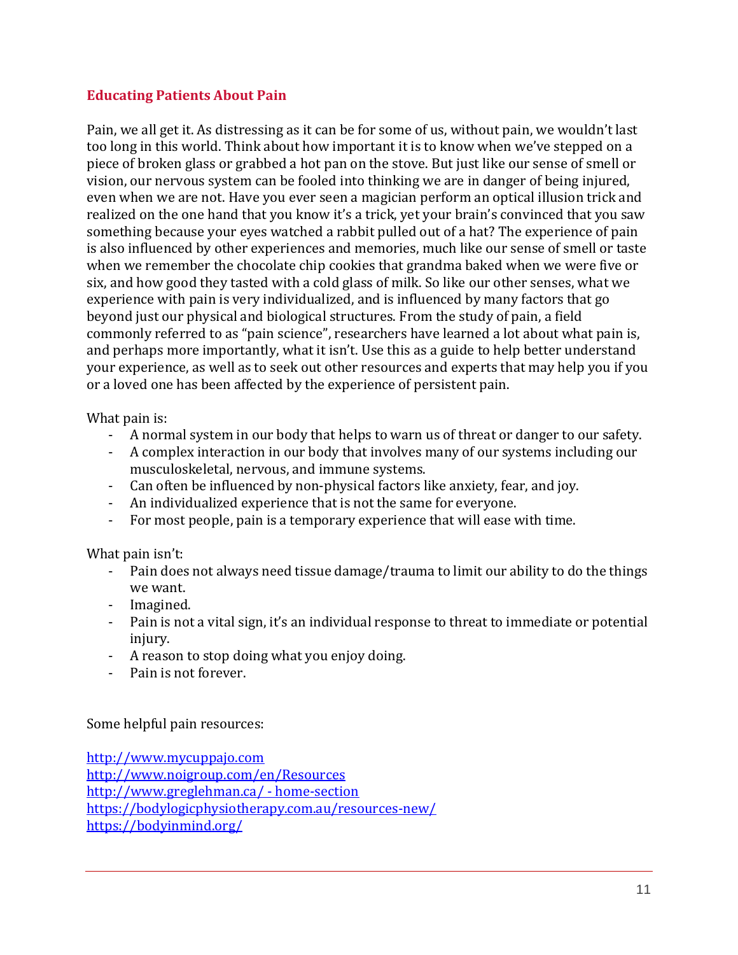#### **Educating Patients About Pain**

Pain, we all get it. As distressing as it can be for some of us, without pain, we wouldn't last too long in this world. Think about how important it is to know when we've stepped on a piece of broken glass or grabbed a hot pan on the stove. But just like our sense of smell or vision, our nervous system can be fooled into thinking we are in danger of being injured, even when we are not. Have you ever seen a magician perform an optical illusion trick and realized on the one hand that you know it's a trick, yet your brain's convinced that you saw something because your eyes watched a rabbit pulled out of a hat? The experience of pain is also influenced by other experiences and memories, much like our sense of smell or taste when we remember the chocolate chip cookies that grandma baked when we were five or six, and how good they tasted with a cold glass of milk. So like our other senses, what we experience with pain is very individualized, and is influenced by many factors that go beyond just our physical and biological structures. From the study of pain, a field commonly referred to as "pain science", researchers have learned a lot about what pain is, and perhaps more importantly, what it isn't. Use this as a guide to help better understand your experience, as well as to seek out other resources and experts that may help you if you or a loved one has been affected by the experience of persistent pain.

What pain is:

- A normal system in our body that helps to warn us of threat or danger to our safety.
- A complex interaction in our body that involves many of our systems including our musculoskeletal, nervous, and immune systems.
- Can often be influenced by non-physical factors like anxiety, fear, and joy.
- An individualized experience that is not the same for everyone.
- For most people, pain is a temporary experience that will ease with time.

What pain isn't:

- Pain does not always need tissue damage/trauma to limit our ability to do the things we want.
- Imagined.
- Pain is not a vital sign, it's an individual response to threat to immediate or potential injury.
- A reason to stop doing what you enjoy doing.
- Pain is not forever.

Some helpful pain resources:

[http://www.mycuppajo.com](http://www.mycuppajo.com/) <http://www.noigroup.com/en/Resources> [http://www.greglehman.ca/ -](http://www.greglehman.ca/%20-%20home-section) home-section <https://bodylogicphysiotherapy.com.au/resources-new/> <https://bodyinmind.org/>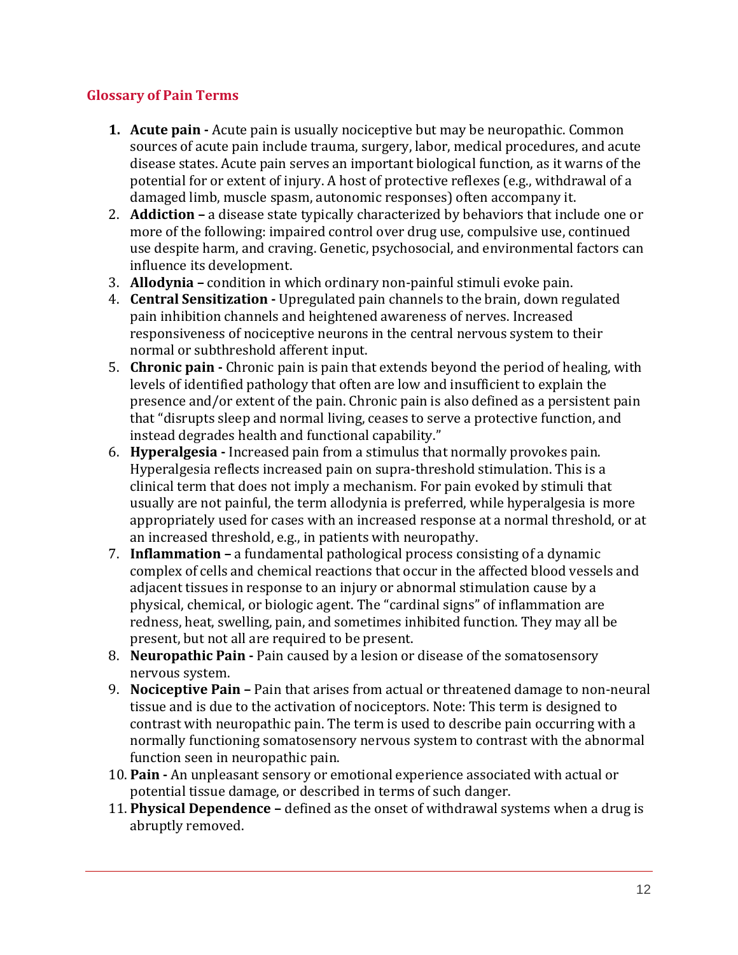### **Glossary of Pain Terms**

- **1. Acute pain -** Acute pain is usually nociceptive but may be neuropathic. Common sources of acute pain include trauma, surgery, labor, medical procedures, and acute disease states. Acute pain serves an important biological function, as it warns of the potential for or extent of injury. A host of protective reflexes (e.g., withdrawal of a damaged limb, muscle spasm, autonomic responses) often accompany it.
- 2. **Addiction –** a disease state typically characterized by behaviors that include one or more of the following: impaired control over drug use, compulsive use, continued use despite harm, and craving. Genetic, psychosocial, and environmental factors can influence its development.
- 3. **Allodynia –** condition in which ordinary non-painful stimuli evoke pain.
- 4. **Central Sensitization -** Upregulated pain channels to the brain, down regulated pain inhibition channels and heightened awareness of nerves. Increased responsiveness of nociceptive neurons in the central nervous system to their normal or subthreshold afferent input.
- 5. **Chronic pain -** Chronic pain is pain that extends beyond the period of healing, with levels of identified pathology that often are low and insufficient to explain the presence and/or extent of the pain. Chronic pain is also defined as a persistent pain that "disrupts sleep and normal living, ceases to serve a protective function, and instead degrades health and functional capability."
- 6. **Hyperalgesia -** Increased pain from a stimulus that normally provokes pain. Hyperalgesia reflects increased pain on supra-threshold stimulation. This is a clinical term that does not imply a mechanism. For pain evoked by stimuli that usually are not painful, the term allodynia is preferred, while hyperalgesia is more appropriately used for cases with an increased response at a normal threshold, or at an increased threshold, e.g., in patients with neuropathy.
- 7. **Inflammation –** a fundamental pathological process consisting of a dynamic complex of cells and chemical reactions that occur in the affected blood vessels and adjacent tissues in response to an injury or abnormal stimulation cause by a physical, chemical, or biologic agent. The "cardinal signs" of inflammation are redness, heat, swelling, pain, and sometimes inhibited function. They may all be present, but not all are required to be present.
- 8. **Neuropathic Pain -** Pain caused by a lesion or disease of the somatosensory nervous system.
- 9. **Nociceptive Pain –** Pain that arises from actual or threatened damage to non-neural tissue and is due to the activation of nociceptors. Note: This term is designed to contrast with neuropathic pain. The term is used to describe pain occurring with a normally functioning somatosensory nervous system to contrast with the abnormal function seen in neuropathic pain.
- 10. **Pain -** An unpleasant sensory or emotional experience associated with actual or potential tissue damage, or described in terms of such danger.
- 11. **Physical Dependence –** defined as the onset of withdrawal systems when a drug is abruptly removed.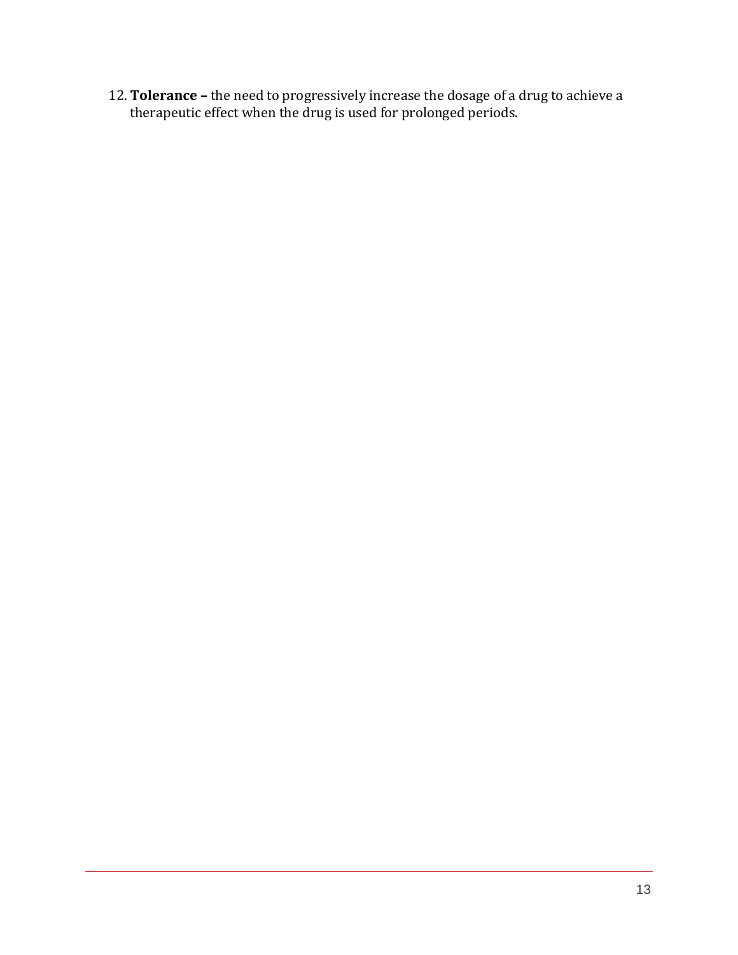12. **Tolerance –** the need to progressively increase the dosage of a drug to achieve a therapeutic effect when the drug is used for prolonged periods.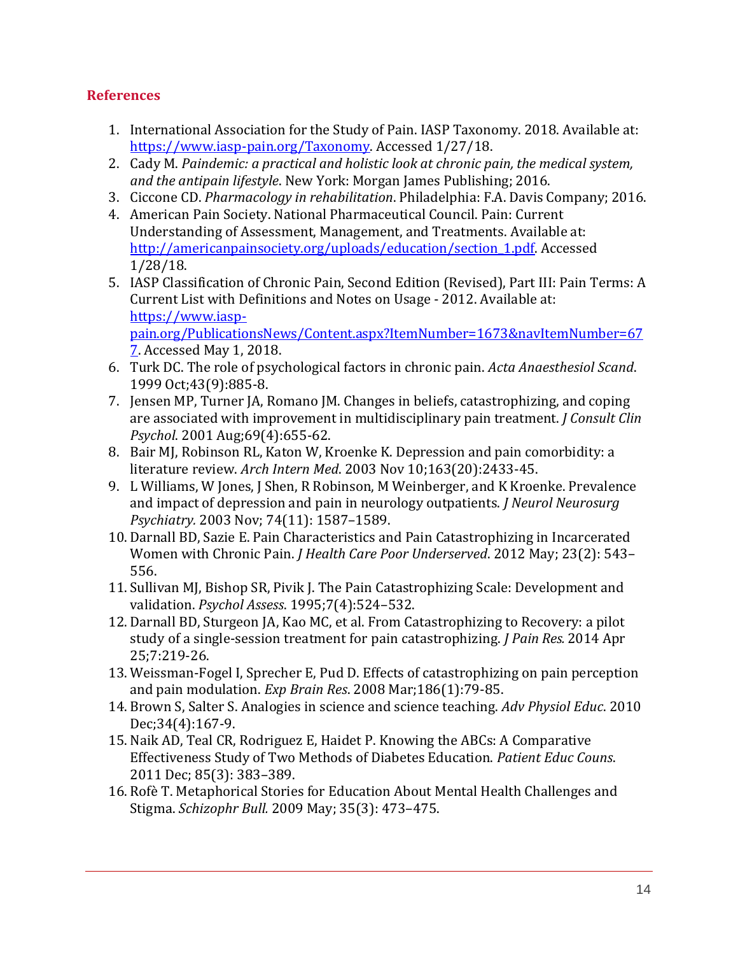### **References**

- 1. International Association for the Study of Pain. IASP Taxonomy. 2018. Available at: [https://www.iasp-pain.org/Taxonomy.](https://www.iasp-pain.org/Taxonomy) Accessed 1/27/18.
- 2. Cady M. *Paindemic: a practical and holistic look at chronic pain, the medical system, and the antipain lifestyle*. New York: Morgan James Publishing; 2016.
- 3. Ciccone CD. *Pharmacology in rehabilitation*. Philadelphia: F.A. Davis Company; 2016.
- 4. American Pain Society. National Pharmaceutical Council. Pain: Current Understanding of Assessment, Management, and Treatments. Available at: [http://americanpainsociety.org/uploads/education/section\\_1.pdf.](http://americanpainsociety.org/uploads/education/section_1.pdf) Accessed 1/28/18.
- 5. IASP Classification of Chronic Pain, Second Edition (Revised), Part III: Pain Terms: A Current List with Definitions and Notes on Usage - 2012. Available at: [https://www.iasp](https://www.iasp-pain.org/PublicationsNews/Content.aspx?ItemNumber=1673&navItemNumber=677)[pain.org/PublicationsNews/Content.aspx?ItemNumber=1673&navItemNumber=67](https://www.iasp-pain.org/PublicationsNews/Content.aspx?ItemNumber=1673&navItemNumber=677) [7.](https://www.iasp-pain.org/PublicationsNews/Content.aspx?ItemNumber=1673&navItemNumber=677) Accessed May 1, 2018.
- 6. Turk DC. The role of psychological factors in chronic pain. *Acta Anaesthesiol Scand*. 1999 Oct;43(9):885-8.
- 7. Jensen MP, Turner JA, Romano JM. Changes in beliefs, catastrophizing, and coping are associated with improvement in multidisciplinary pain treatment. *J Consult Clin Psychol*. 2001 Aug;69(4):655-62.
- 8. Bair MJ, Robinson RL, Katon W, Kroenke K. Depression and pain comorbidity: a literature review. *Arch Intern Med*. 2003 Nov 10;163(20):2433-45.
- 9. L Williams, W Jones, J Shen, R Robinson, M Weinberger, and K Kroenke. Prevalence and impact of depression and pain in neurology outpatients. *J Neurol Neurosurg Psychiatry.* 2003 Nov; 74(11): 1587–1589.
- 10. Darnall BD, Sazie E. Pain Characteristics and Pain Catastrophizing in Incarcerated Women with Chronic Pain. *J Health Care Poor Underserved*. 2012 May; 23(2): 543– 556.
- 11. Sullivan MJ, Bishop SR, Pivik J. The Pain Catastrophizing Scale: Development and validation. *Psychol Assess*. 1995;7(4):524–532.
- 12. Darnall BD, Sturgeon JA, Kao MC, et al. From Catastrophizing to Recovery: a pilot study of a single-session treatment for pain catastrophizing. *J Pain Res.* 2014 Apr 25;7:219-26.
- 13. Weissman-Fogel I, Sprecher E, Pud D. Effects of catastrophizing on pain perception and pain modulation. *Exp Brain Res*. 2008 Mar;186(1):79-85.
- 14. Brown S, Salter S. Analogies in science and science teaching. *Adv Physiol Educ*. 2010 Dec;34(4):167-9.
- 15. Naik AD, Teal CR, Rodriguez E, Haidet P. Knowing the ABCs: A Comparative Effectiveness Study of Two Methods of Diabetes Education. *Patient Educ Couns*. 2011 Dec; 85(3): 383–389.
- 16. Rofè T. Metaphorical Stories for Education About Mental Health Challenges and Stigma. *Schizophr Bull.* 2009 May; 35(3): 473–475.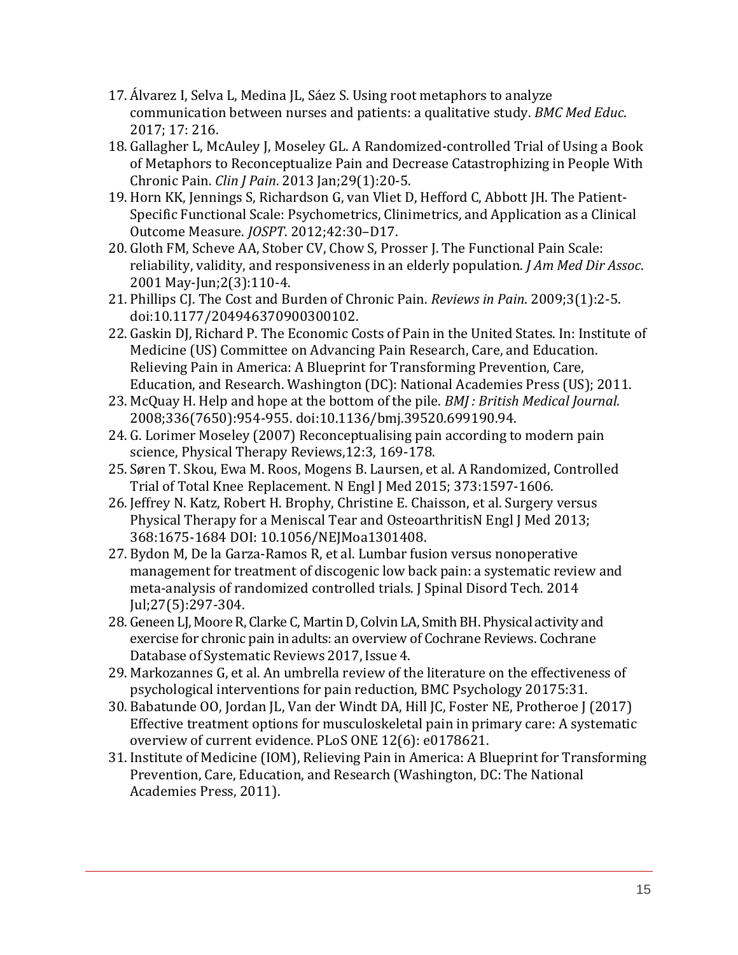- 17. Álvarez I, Selva L, Medina JL, Sáez S. Using root metaphors to analyze communication between nurses and patients: a qualitative study. *BMC Med Educ*. 2017; 17: 216.
- 18. Gallagher L, McAuley J, Moseley GL. A Randomized-controlled Trial of Using a Book of Metaphors to Reconceptualize Pain and Decrease Catastrophizing in People With Chronic Pain. *Clin J Pain*. 2013 Jan;29(1):20-5.
- 19. Horn KK, Jennings S, Richardson G, van Vliet D, Hefford C, Abbott JH. The Patient-Specific Functional Scale: Psychometrics, Clinimetrics, and Application as a Clinical Outcome Measure. *JOSPT*. 2012;42:30–D17.
- 20. Gloth FM, Scheve AA, Stober CV, Chow S, Prosser J. The Functional Pain Scale: reliability, validity, and responsiveness in an elderly population. *J Am Med Dir Assoc*. 2001 May-Jun;2(3):110-4.
- 21. Phillips CJ. The Cost and Burden of Chronic Pain. *Reviews in Pain*. 2009;3(1):2-5. doi:10.1177/204946370900300102.
- 22. Gaskin DJ, Richard P. The Economic Costs of Pain in the United States. In: Institute of Medicine (US) Committee on Advancing Pain Research, Care, and Education. Relieving Pain in America: A Blueprint for Transforming Prevention, Care, Education, and Research. Washington (DC): National Academies Press (US); 2011.
- 23. McQuay H. Help and hope at the bottom of the pile. *BMJ : British Medical Journal*. 2008;336(7650):954-955. doi:10.1136/bmj.39520.699190.94.
- 24. G. Lorimer Moseley (2007) Reconceptualising pain according to modern pain science, Physical Therapy Reviews,12:3, 169-178.
- 25. Søren T. Skou, Ewa M. Roos, Mogens B. Laursen, et al. A Randomized, Controlled Trial of Total Knee Replacement. N Engl J Med 2015; 373:1597-1606.
- 26. Jeffrey N. Katz, Robert H. Brophy, Christine E. Chaisson, et al. Surgery versus Physical Therapy for a Meniscal Tear and OsteoarthritisN Engl J Med 2013; 368:1675-1684 DOI: 10.1056/NEJMoa1301408.
- 27. Bydon M, De la Garza-Ramos R, et al. Lumbar fusion versus nonoperative management for treatment of discogenic low back pain: a systematic review and meta-analysis of randomized controlled trials. J Spinal Disord Tech. 2014 Jul;27(5):297-304.
- 28. Geneen LJ, Moore R, Clarke C, Martin D, Colvin LA, Smith BH. Physical activity and exercise for chronic pain in adults: an overview of Cochrane Reviews. Cochrane Database of Systematic Reviews 2017, Issue 4.
- 29. Markozannes G, et al. An umbrella review of the literature on the effectiveness of psychological interventions for pain reduction, BMC Psychology 20175:31.
- 30. Babatunde OO, Jordan JL, Van der Windt DA, Hill JC, Foster NE, Protheroe J (2017) Effective treatment options for musculoskeletal pain in primary care: A systematic overview of current evidence. PLoS ONE 12(6): e0178621.
- 31. Institute of Medicine (IOM), Relieving Pain in America: A Blueprint for Transforming Prevention, Care, Education, and Research (Washington, DC: The National Academies Press, 2011).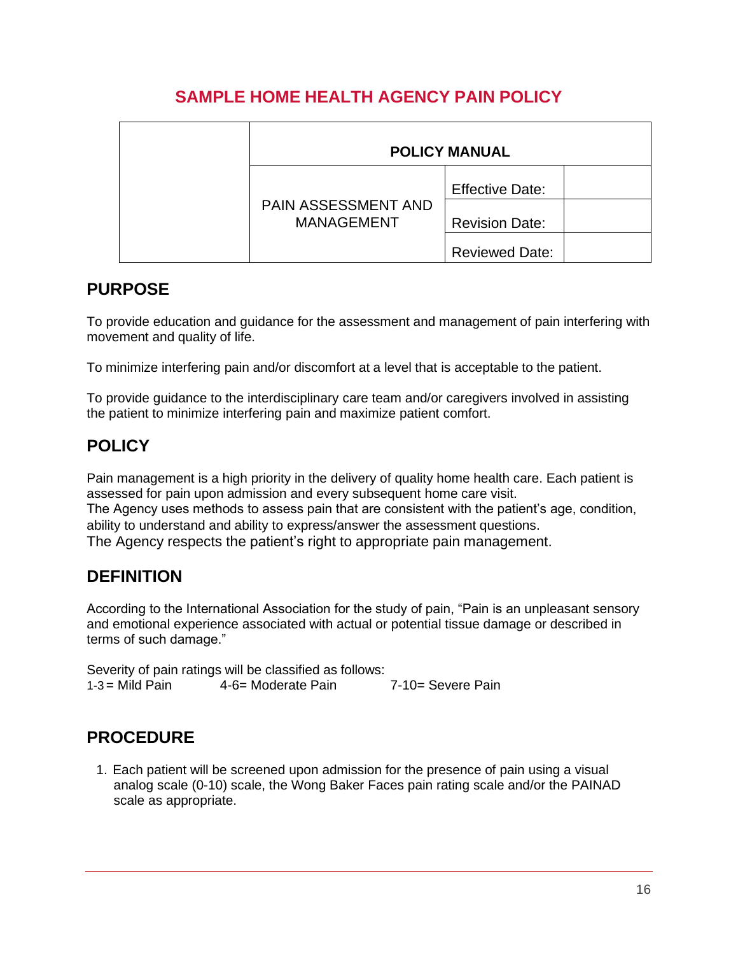## **SAMPLE HOME HEALTH AGENCY PAIN POLICY**

|  | <b>POLICY MANUAL</b>                     |                        |  |
|--|------------------------------------------|------------------------|--|
|  | PAIN ASSESSMENT AND<br><b>MANAGEMENT</b> | <b>Effective Date:</b> |  |
|  |                                          | <b>Revision Date:</b>  |  |
|  |                                          | <b>Reviewed Date:</b>  |  |

## **PURPOSE**

To provide education and guidance for the assessment and management of pain interfering with movement and quality of life.

To minimize interfering pain and/or discomfort at a level that is acceptable to the patient.

To provide guidance to the interdisciplinary care team and/or caregivers involved in assisting the patient to minimize interfering pain and maximize patient comfort.

## **POLICY**

Pain management is a high priority in the delivery of quality home health care. Each patient is assessed for pain upon admission and every subsequent home care visit. The Agency uses methods to assess pain that are consistent with the patient's age, condition, ability to understand and ability to express/answer the assessment questions. The Agency respects the patient's right to appropriate pain management.

## **DEFINITION**

According to the International Association for the study of pain, "Pain is an unpleasant sensory and emotional experience associated with actual or potential tissue damage or described in terms of such damage."

Severity of pain ratings will be classified as follows:  $1-3 =$  Mild Pain  $4-6=$  Moderate Pain  $7-10=$  Severe Pain

## **PROCEDURE**

1. Each patient will be screened upon admission for the presence of pain using a visual analog scale (0-10) scale, the Wong Baker Faces pain rating scale and/or the PAINAD scale as appropriate.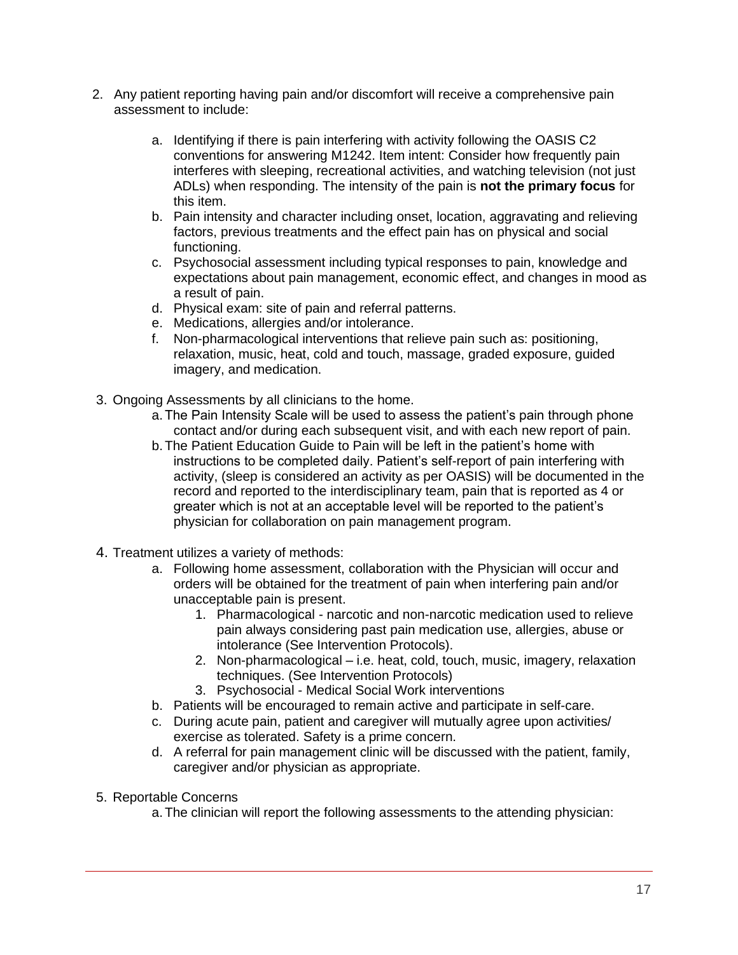- 2. Any patient reporting having pain and/or discomfort will receive a comprehensive pain assessment to include:
	- a. Identifying if there is pain interfering with activity following the OASIS C2 conventions for answering M1242. Item intent: Consider how frequently pain interferes with sleeping, recreational activities, and watching television (not just ADLs) when responding. The intensity of the pain is **not the primary focus** for this item.
	- b. Pain intensity and character including onset, location, aggravating and relieving factors, previous treatments and the effect pain has on physical and social functioning.
	- c. Psychosocial assessment including typical responses to pain, knowledge and expectations about pain management, economic effect, and changes in mood as a result of pain.
	- d. Physical exam: site of pain and referral patterns.
	- e. Medications, allergies and/or intolerance.
	- f. Non-pharmacological interventions that relieve pain such as: positioning, relaxation, music, heat, cold and touch, massage, graded exposure, guided imagery, and medication.
- 3. Ongoing Assessments by all clinicians to the home.
	- a.The Pain Intensity Scale will be used to assess the patient's pain through phone contact and/or during each subsequent visit, and with each new report of pain.
	- b.The Patient Education Guide to Pain will be left in the patient's home with instructions to be completed daily. Patient's self-report of pain interfering with activity, (sleep is considered an activity as per OASIS) will be documented in the record and reported to the interdisciplinary team, pain that is reported as 4 or greater which is not at an acceptable level will be reported to the patient's physician for collaboration on pain management program.
- 4. Treatment utilizes a variety of methods:
	- a. Following home assessment, collaboration with the Physician will occur and orders will be obtained for the treatment of pain when interfering pain and/or unacceptable pain is present.
		- 1. Pharmacological narcotic and non-narcotic medication used to relieve pain always considering past pain medication use, allergies, abuse or intolerance (See Intervention Protocols).
		- 2. Non-pharmacological i.e. heat, cold, touch, music, imagery, relaxation techniques. (See Intervention Protocols)
		- 3. Psychosocial Medical Social Work interventions
	- b. Patients will be encouraged to remain active and participate in self-care.
	- c. During acute pain, patient and caregiver will mutually agree upon activities/ exercise as tolerated. Safety is a prime concern.
	- d. A referral for pain management clinic will be discussed with the patient, family, caregiver and/or physician as appropriate.
- 5. Reportable Concerns
	- a.The clinician will report the following assessments to the attending physician: